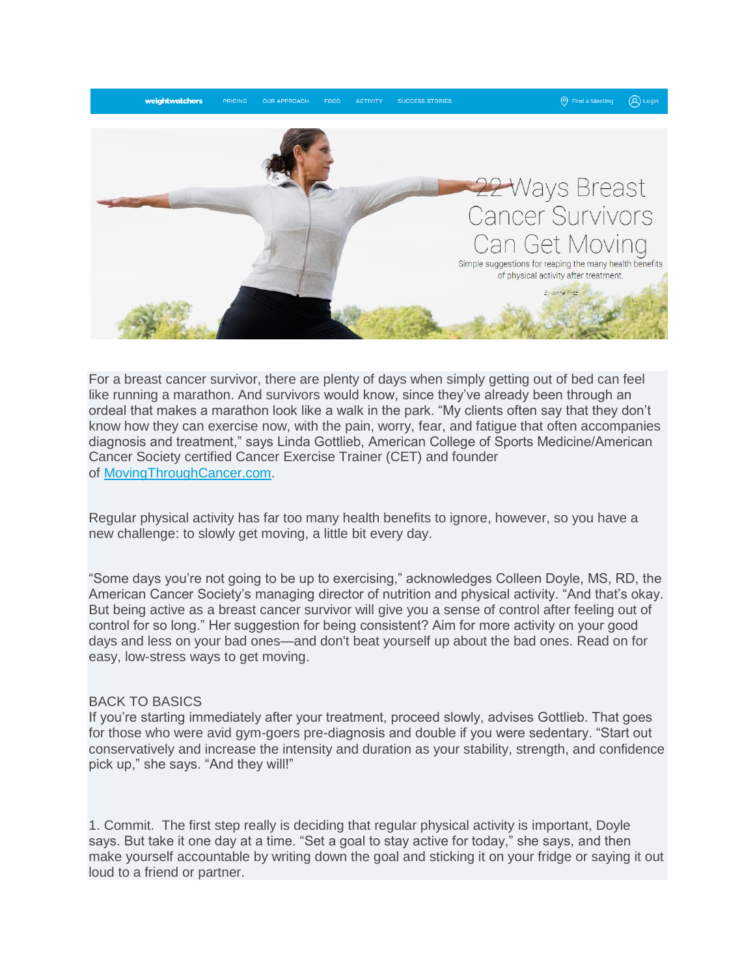

For a breast cancer survivor, there are plenty of days when simply getting out of bed can feel like running a marathon. And survivors would know, since they've already been through an ordeal that makes a marathon look like a walk in the park. "My clients often say that they don't know how they can exercise now, with the pain, worry, fear, and fatigue that often accompanies diagnosis and treatment," says Linda Gottlieb, American College of Sports Medicine/American Cancer Society certified Cancer Exercise Trainer (CET) and founder of [MovingThroughCancer.com.](http://www.fittraining.net/cancer-exercise)

Regular physical activity has far too many health benefits to ignore, however, so you have a new challenge: to slowly get moving, a little bit every day.

"Some days you're not going to be up to exercising," acknowledges Colleen Doyle, MS, RD, the American Cancer Society's managing director of nutrition and physical activity. "And that's okay. But being active as a breast cancer survivor will give you a sense of control after feeling out of control for so long." Her suggestion for being consistent? Aim for more activity on your good days and less on your bad ones—and don't beat yourself up about the bad ones. Read on for easy, low-stress ways to get moving.

## BACK TO BASICS

If you're starting immediately after your treatment, proceed slowly, advises Gottlieb. That goes for those who were avid gym-goers pre-diagnosis and double if you were sedentary. "Start out conservatively and increase the intensity and duration as your stability, strength, and confidence pick up," she says. "And they will!"

1. Commit. The first step really is deciding that regular physical activity is important, Doyle says. But take it one day at a time. "Set a goal to stay active for today," she says, and then make yourself accountable by writing down the goal and sticking it on your fridge or saying it out loud to a friend or partner.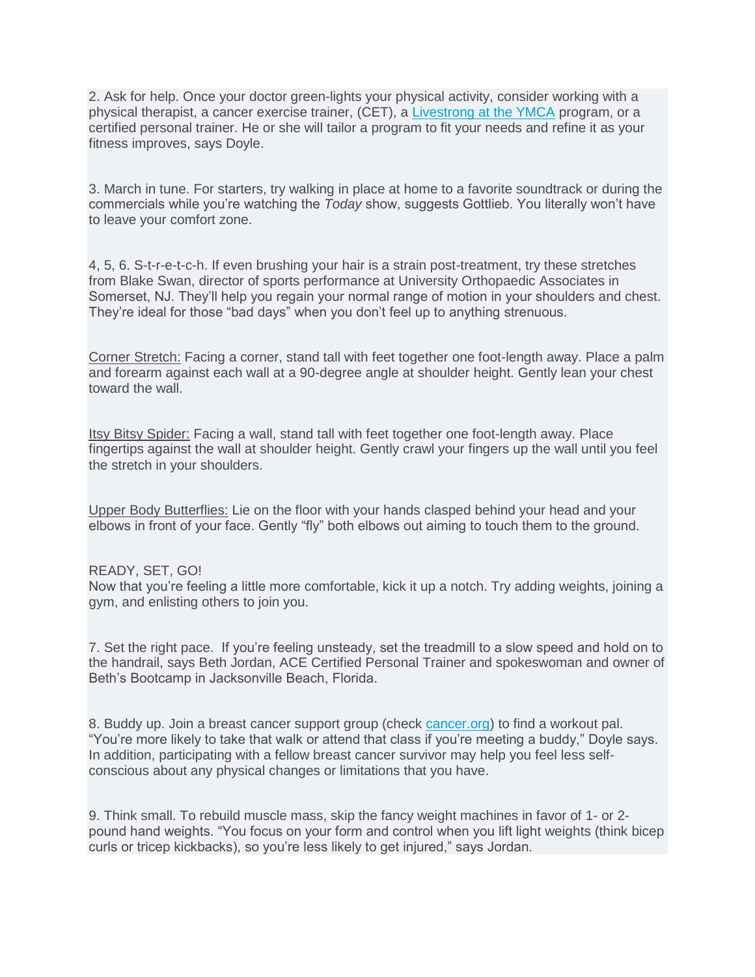2. Ask for help. Once your doctor green-lights your physical activity, consider working with a physical therapist, a cancer exercise trainer, (CET), a [Livestrong at the YMCA](http://www.livestrongattheymca.org/) program, or a certified personal trainer. He or she will tailor a program to fit your needs and refine it as your fitness improves, says Doyle.

3. March in tune. For starters, try walking in place at home to a favorite soundtrack or during the commercials while you're watching the *Today* show, suggests Gottlieb. You literally won't have to leave your comfort zone.

4, 5, 6. S-t-r-e-t-c-h. If even brushing your hair is a strain post-treatment, try these stretches from Blake Swan, director of sports performance at University Orthopaedic Associates in Somerset, NJ. They'll help you regain your normal range of motion in your shoulders and chest. They're ideal for those "bad days" when you don't feel up to anything strenuous.

Corner Stretch: Facing a corner, stand tall with feet together one foot-length away. Place a palm and forearm against each wall at a 90-degree angle at shoulder height. Gently lean your chest toward the wall.

**Itsy Bitsy Spider:** Facing a wall, stand tall with feet together one foot-length away. Place fingertips against the wall at shoulder height. Gently crawl your fingers up the wall until you feel the stretch in your shoulders.

Upper Body Butterflies: Lie on the floor with your hands clasped behind your head and your elbows in front of your face. Gently "fly" both elbows out aiming to touch them to the ground.

## READY, SET, GO!

Now that you're feeling a little more comfortable, kick it up a notch. Try adding weights, joining a gym, and enlisting others to join you.

7. Set the right pace. If you're feeling unsteady, set the treadmill to a slow speed and hold on to the handrail, says Beth Jordan, ACE Certified Personal Trainer and spokeswoman and owner of Beth's Bootcamp in Jacksonville Beach, Florida.

8. Buddy up. Join a breast cancer support group (check [cancer.org\)](http://www.cancer.org/) to find a workout pal. "You're more likely to take that walk or attend that class if you're meeting a buddy," Doyle says. In addition, participating with a fellow breast cancer survivor may help you feel less selfconscious about any physical changes or limitations that you have.

9. Think small. To rebuild muscle mass, skip the fancy weight machines in favor of 1- or 2 pound hand weights. "You focus on your form and control when you lift light weights (think bicep curls or tricep kickbacks), so you're less likely to get injured," says Jordan.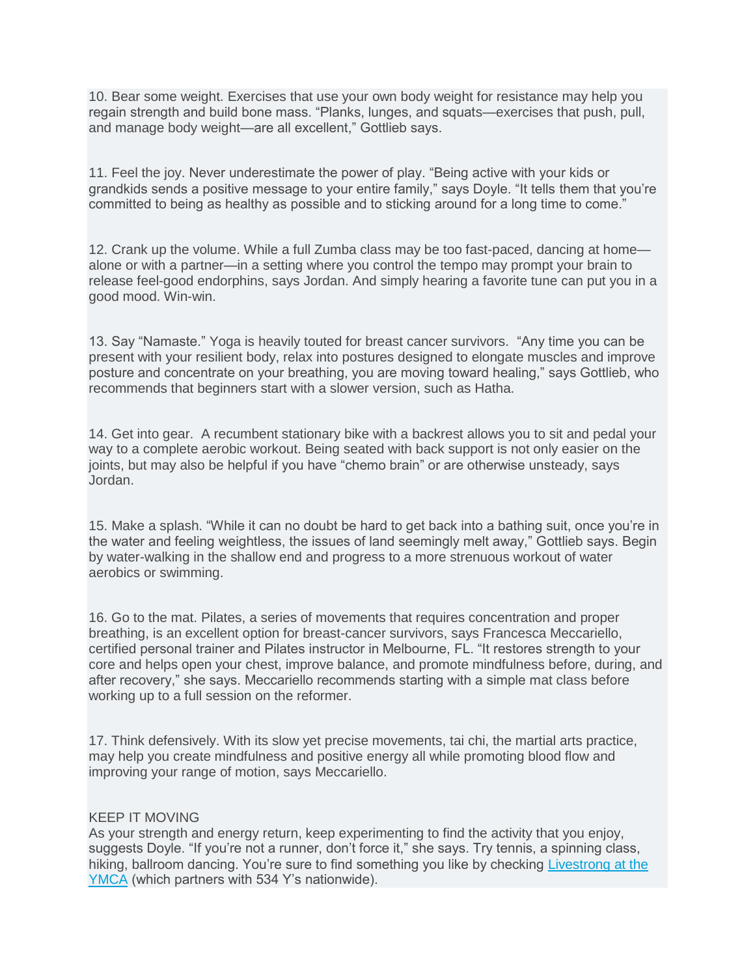10. Bear some weight. Exercises that use your own body weight for resistance may help you regain strength and build bone mass. "Planks, lunges, and squats—exercises that push, pull, and manage body weight—are all excellent," Gottlieb says.

11. Feel the joy. Never underestimate the power of play. "Being active with your kids or grandkids sends a positive message to your entire family," says Doyle. "It tells them that you're committed to being as healthy as possible and to sticking around for a long time to come."

12. Crank up the volume. While a full Zumba class may be too fast-paced, dancing at home alone or with a partner—in a setting where you control the tempo may prompt your brain to release feel-good endorphins, says Jordan. And simply hearing a favorite tune can put you in a good mood. Win-win.

13. Say "Namaste." Yoga is heavily touted for breast cancer survivors. "Any time you can be present with your resilient body, relax into postures designed to elongate muscles and improve posture and concentrate on your breathing, you are moving toward healing," says Gottlieb, who recommends that beginners start with a slower version, such as Hatha.

14. Get into gear. A recumbent stationary bike with a backrest allows you to sit and pedal your way to a complete aerobic workout. Being seated with back support is not only easier on the joints, but may also be helpful if you have "chemo brain" or are otherwise unsteady, says Jordan.

15. Make a splash. "While it can no doubt be hard to get back into a bathing suit, once you're in the water and feeling weightless, the issues of land seemingly melt away," Gottlieb says. Begin by water-walking in the shallow end and progress to a more strenuous workout of water aerobics or swimming.

16. Go to the mat. Pilates, a series of movements that requires concentration and proper breathing, is an excellent option for breast-cancer survivors, says Francesca Meccariello, certified personal trainer and Pilates instructor in Melbourne, FL. "It restores strength to your core and helps open your chest, improve balance, and promote mindfulness before, during, and after recovery," she says. Meccariello recommends starting with a simple mat class before working up to a full session on the reformer.

17. Think defensively. With its slow yet precise movements, tai chi, the martial arts practice, may help you create mindfulness and positive energy all while promoting blood flow and improving your range of motion, says Meccariello.

## KEEP IT MOVING

As your strength and energy return, keep experimenting to find the activity that you enjoy, suggests Doyle. "If you're not a runner, don't force it," she says. Try tennis, a spinning class, hiking, ballroom dancing. You're sure to find something you like by checking [Livestrong at the](http://www.livestrongattheymca.org/)  [YMCA](http://www.livestrongattheymca.org/) (which partners with 534 Y's nationwide).